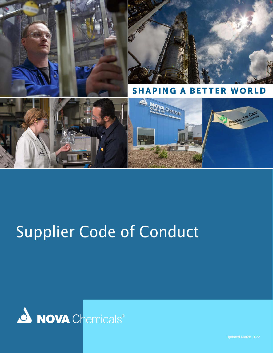

# Supplier Code of Conduct



 $N$  chemicals suppliers  $\Gamma$  chemicals suppliers  $\Gamma$  conduct  $\Gamma$  conduct in  $\Gamma$  conducts  $\Gamma$  conduct  $\Gamma$  conduct  $\Gamma$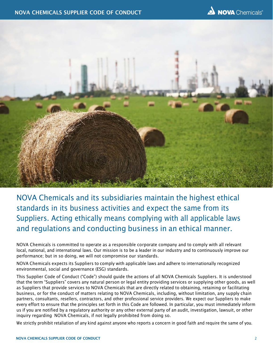

NOVA Chemicals and its subsidiaries maintain the highest ethical standards in its business activities and expect the same from its Suppliers. Acting ethically means complying with all applicable laws and regulations and conducting business in an ethical manner.

NOVA Chemicals is committed to operate as a responsible corporate company and to comply with all relevant local, national, and international laws. Our mission is to be a leader in our industry and to continuously improve our performance; but in so doing, we will not compromise our standards.

NOVA Chemicals expects its Suppliers to comply with applicable laws and adhere to internationally recognized environmental, social and governance (ESG) standards.

This Supplier Code of Conduct ("Code") should guide the actions of all NOVA Chemicals Suppliers. It is understood that the term "Suppliers" covers any natural person or legal entity providing services or supplying other goods, as well as Suppliers that provide services to NOVA Chemicals that are directly related to obtaining, retaining or facilitating business, or for the conduct of matters relating to NOVA Chemicals, including, without limitation, any supply chain partners, consultants, resellers, contractors, and other professional service providers. We expect our Suppliers to make every effort to ensure that the principles set forth in this Code are followed. In particular, you must immediately inform us if you are notified by a regulatory authority or any other external party of an audit, investigation, lawsuit, or other inquiry regarding NOVA Chemicals, if not legally prohibited from doing so.

We strictly prohibit retaliation of any kind against anyone who reports a concern in good faith and require the same of you.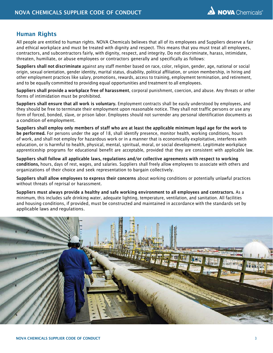## Human Rights

All people are entitled to human rights. NOVA Chemicals believes that all of its employees and Suppliers deserve a fair and ethical workplace and must be treated with dignity and respect. This means that you must treat all employees, contractors, and subcontractors fairly, with dignity, respect, and integrity. Do not discriminate, harass, intimidate, threaten, humiliate, or abuse employees or contractors generally and specifically as follows:

Suppliers shall not discriminate against any staff member based on race, color, religion, gender, age, national or social origin, sexual orientation, gender identity, marital status, disability, political affiliation, or union membership, in hiring and other employment practices like salary, promotions, rewards, access to training, employment termination, and retirement, and to be equally committed to providing equal opportunities and treatment to all employees.

Suppliers shall provide a workplace free of harassment, corporal punishment, coercion, and abuse. Any threats or other forms of intimidation must be prohibited.

Suppliers shall ensure that all work is voluntary. Employment contracts shall be easily understood by employees, and they should be free to terminate their employment upon reasonable notice. They shall not traffic persons or use any form of forced, bonded, slave, or prison labor. Employees should not surrender any personal identification documents as a condition of employment.

Suppliers shall employ only members of staff who are at least the applicable minimum legal age for the work to be performed. For persons under the age of 18, shall identify presence, monitor health, working conditions, hours of work, and shall not employ for hazardous work or in a manner that is economically exploitative, interferes with education, or is harmful to health, physical, mental, spiritual, moral, or social development. Legitimate workplace apprenticeship programs for educational benefit are acceptable, provided that they are consistent with applicable law.

Suppliers shall follow all applicable laws, regulations and/or collective agreements with respect to working conditions, hours, days of rest, wages, and salaries. Suppliers shall freely allow employees to associate with others and organizations of their choice and seek representation to bargain collectively.

Suppliers shall allow employees to express their concerns about working conditions or potentially unlawful practices without threats of reprisal or harassment.

Suppliers must always provide a healthy and safe working environment to all employees and contractors. As a minimum, this includes safe drinking water, adequate lighting, temperature, ventilation, and sanitation. All facilities and housing conditions, if provided, must be constructed and maintained in accordance with the standards set by applicable laws and regulations.

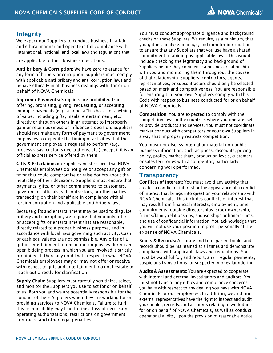## Integrity

We expect our Suppliers to conduct business in a fair and ethical manner and operate in full compliance with international, national, and local laws and regulations that

are applicable to their business operations.

Anti-bribery & Corruption: We have zero tolerance for any form of bribery or corruption. Suppliers must comply with applicable anti-bribery and anti-corruption laws and behave ethically in all business dealings with, for or on behalf of NOVA Chemicals.

Improper Payments: Suppliers are prohibited from offering, promising, giving, requesting, or accepting improper payments (e.g., a bribe, a "kickback", or anything of value, including gifts, meals, entertainment, etc.) directly or through others in an attempt to improperly gain or retain business or influence a decision. Suppliers should not make any form of payment to government employees to expedite the timing of activities that the government employee is required to perform (e.g., process visas, customs declarations, etc.) except if it is an official express service offered by them.

Gifts & Entertainment: Suppliers must respect that NOVA Chemicals employees do not give or accept any gift or favor that could compromise or raise doubts about the neutrality of their decisions. Suppliers must ensure that payments, gifts, or other commitments to customers, government officials, subcontractors, or other parties transacting on their behalf are in compliance with all foreign corruption and applicable anti-bribery laws.

Because gifts and entertainment may be used to disguise bribery and corruption, we require that you only offer or accept gifts or entertainment that are reasonable, directly related to a proper business purpose, and in accordance with local laws governing such activity. Cash or cash equivalents are not permissible. Any offer of a gift or entertainment to one of our employees during an open bidding process in which you are involved is strictly prohibited. If there any doubt with respect to what NOVA Chemicals employees may or may not offer or receive with respect to gifts and entertainment, do not hesitate to reach out directly for clarification.

Supply Chain: Suppliers must carefully scrutinize, select, and monitor the Suppliers you use to act for or on behalf of us. Both you and we are potentially responsible for the conduct of these Suppliers when they are working for or providing services to NOVA Chemicals. Failure to fulfill this responsibility may lead to fines, loss of necessary operating authorizations, restrictions on government contracts, and other legal penalties.

You must conduct appropriate diligence and background checks on these Suppliers. We require, as a minimum, that you gather, analyze, manage, and monitor information to ensure that any Suppliers that you use have a shared commitment to abiding by applicable laws. This would include checking the legitimacy and background of Suppliers before they commence a business relationship with you and monitoring them throughout the course of that relationship. Suppliers, contractors, agents, representatives, or subcontractors should only be selected based on merit and competitiveness. You are responsible for ensuring that your own Suppliers comply with this Code with respect to business conducted for or on behalf of NOVA Chemicals.

Competition: You are expected to comply with the competition laws in the countries where you operate, sell, or provide products and services. You must not coordinate market conduct with competitors or your own Suppliers in a way that improperly restricts competition.

You must not discuss internal or material non-public business information, such as prices, discounts, pricing policy, profits, market share, production levels, customers, or sales territories with a competitor, particularly concerning work performed.

#### **Transparency**

Conflicts of Interest: You must avoid any activity that creates a conflict of interest or the appearance of a conflict of interest that brings into question your relationship with NOVA Chemicals. This includes conflicts of interest that may result from financial interests, employment, time commitments, outside directorships, stock ownership, friends/family relationships, sponsorships or honorariums, and use of confidential information. You acknowledge that you will not use your position to profit personally at the expense of NOVA Chemicals.

Books & Records: Accurate and transparent books and records should be maintained at all times and demonstrate compliance with applicable laws and regulations. You must be watchful for, and report, any irregular payments, suspicious transactions, or suspected money laundering.

Audits & Assessments: You are expected to cooperate with internal and external investigators and auditors. You must notify us of any ethics and compliance concerns you have with respect to any dealing you have with NOVA Chemicals or our employees. In addition, we and our external representatives have the right to inspect and audit your books, records, and accounts relating to work done for or on behalf of NOVA Chemicals, as well as conduct operational audits, upon the provision of reasonable notice.